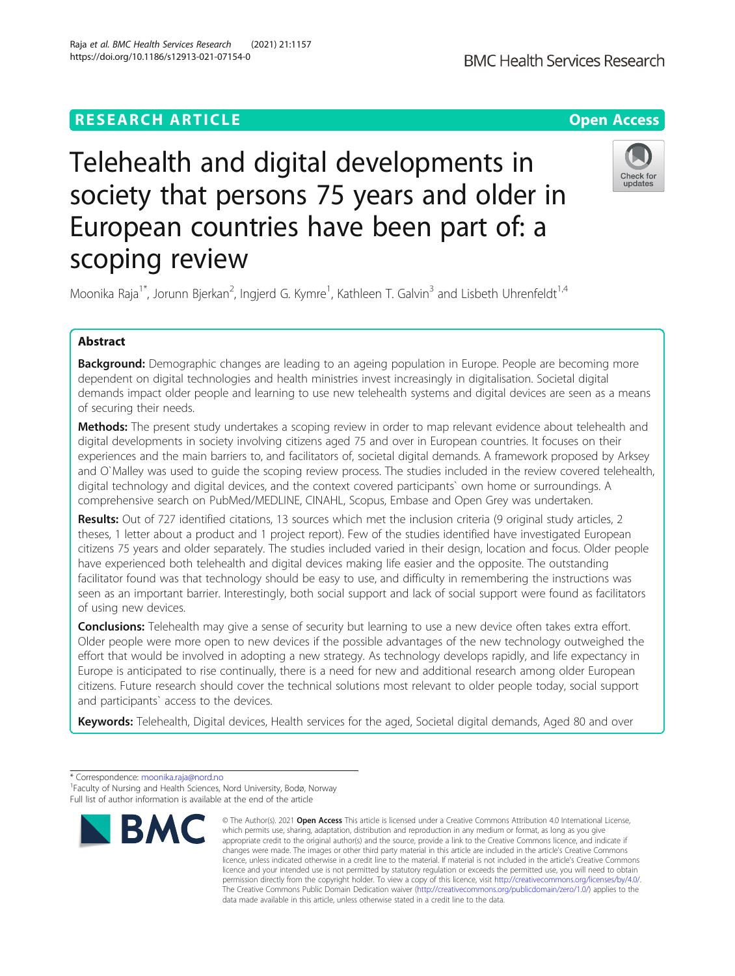scoping review

# **RESEARCH ARTICLE Example 2014 12:30 The Contract of Contract ACCESS** Telehealth and digital developments in society that persons 75 years and older in European countries have been part of: a

Moonika Raja<sup>1\*</sup>, Jorunn Bjerkan<sup>2</sup>, Ingjerd G. Kymre<sup>1</sup>, Kathleen T. Galvin<sup>3</sup> and Lisbeth Uhrenfeldt<sup>1,4</sup>

## Abstract

Background: Demographic changes are leading to an ageing population in Europe. People are becoming more dependent on digital technologies and health ministries invest increasingly in digitalisation. Societal digital demands impact older people and learning to use new telehealth systems and digital devices are seen as a means of securing their needs.

Methods: The present study undertakes a scoping review in order to map relevant evidence about telehealth and digital developments in society involving citizens aged 75 and over in European countries. It focuses on their experiences and the main barriers to, and facilitators of, societal digital demands. A framework proposed by Arksey and O`Malley was used to guide the scoping review process. The studies included in the review covered telehealth, digital technology and digital devices, and the context covered participants` own home or surroundings. A comprehensive search on PubMed/MEDLINE, CINAHL, Scopus, Embase and Open Grey was undertaken.

Results: Out of 727 identified citations, 13 sources which met the inclusion criteria (9 original study articles, 2 theses, 1 letter about a product and 1 project report). Few of the studies identified have investigated European citizens 75 years and older separately. The studies included varied in their design, location and focus. Older people have experienced both telehealth and digital devices making life easier and the opposite. The outstanding facilitator found was that technology should be easy to use, and difficulty in remembering the instructions was seen as an important barrier. Interestingly, both social support and lack of social support were found as facilitators of using new devices.

**Conclusions:** Telehealth may give a sense of security but learning to use a new device often takes extra effort. Older people were more open to new devices if the possible advantages of the new technology outweighed the effort that would be involved in adopting a new strategy. As technology develops rapidly, and life expectancy in Europe is anticipated to rise continually, there is a need for new and additional research among older European citizens. Future research should cover the technical solutions most relevant to older people today, social support and participants` access to the devices.

Keywords: Telehealth, Digital devices, Health services for the aged, Societal digital demands, Aged 80 and over





<sup>©</sup> The Author(s), 2021 **Open Access** This article is licensed under a Creative Commons Attribution 4.0 International License, which permits use, sharing, adaptation, distribution and reproduction in any medium or format, as long as you give appropriate credit to the original author(s) and the source, provide a link to the Creative Commons licence, and indicate if changes were made. The images or other third party material in this article are included in the article's Creative Commons licence, unless indicated otherwise in a credit line to the material. If material is not included in the article's Creative Commons licence and your intended use is not permitted by statutory regulation or exceeds the permitted use, you will need to obtain permission directly from the copyright holder. To view a copy of this licence, visit [http://creativecommons.org/licenses/by/4.0/.](http://creativecommons.org/licenses/by/4.0/) The Creative Commons Public Domain Dedication waiver [\(http://creativecommons.org/publicdomain/zero/1.0/](http://creativecommons.org/publicdomain/zero/1.0/)) applies to the data made available in this article, unless otherwise stated in a credit line to the data.

<sup>\*</sup> Correspondence: [moonika.raja@nord.no](mailto:moonika.raja@nord.no) <sup>1</sup>

Faculty of Nursing and Health Sciences, Nord University, Bodø, Norway Full list of author information is available at the end of the article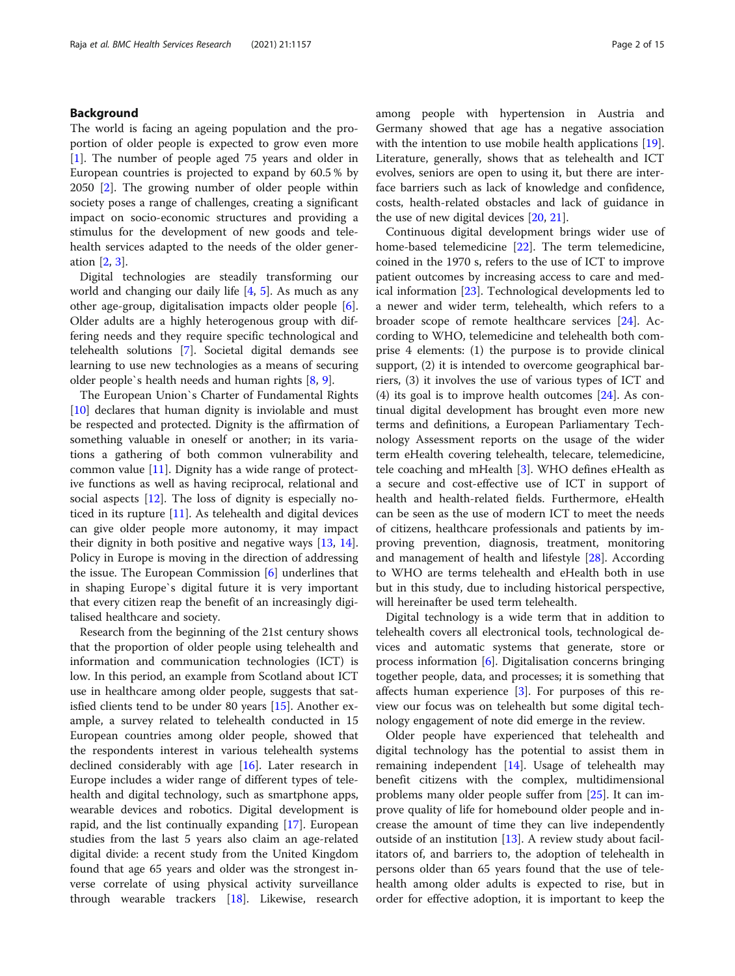#### Background

The world is facing an ageing population and the proportion of older people is expected to grow even more [[1\]](#page-12-0). The number of people aged 75 years and older in European countries is projected to expand by 60.5 % by 2050 [\[2](#page-12-0)]. The growing number of older people within society poses a range of challenges, creating a significant impact on socio-economic structures and providing a stimulus for the development of new goods and telehealth services adapted to the needs of the older generation [\[2](#page-12-0), [3](#page-12-0)].

Digital technologies are steadily transforming our world and changing our daily life [[4](#page-12-0), [5\]](#page-13-0). As much as any other age-group, digitalisation impacts older people [\[6](#page-13-0)]. Older adults are a highly heterogenous group with differing needs and they require specific technological and telehealth solutions [\[7\]](#page-13-0). Societal digital demands see learning to use new technologies as a means of securing older people`s health needs and human rights [\[8](#page-13-0), [9](#page-13-0)].

The European Union`s Charter of Fundamental Rights [[10\]](#page-13-0) declares that human dignity is inviolable and must be respected and protected. Dignity is the affirmation of something valuable in oneself or another; in its variations a gathering of both common vulnerability and common value [[11](#page-13-0)]. Dignity has a wide range of protective functions as well as having reciprocal, relational and social aspects [\[12\]](#page-13-0). The loss of dignity is especially noticed in its rupture [\[11](#page-13-0)]. As telehealth and digital devices can give older people more autonomy, it may impact their dignity in both positive and negative ways [\[13,](#page-13-0) [14](#page-13-0)]. Policy in Europe is moving in the direction of addressing the issue. The European Commission [\[6](#page-13-0)] underlines that in shaping Europe`s digital future it is very important that every citizen reap the benefit of an increasingly digitalised healthcare and society.

Research from the beginning of the 21st century shows that the proportion of older people using telehealth and information and communication technologies (ICT) is low. In this period, an example from Scotland about ICT use in healthcare among older people, suggests that satisfied clients tend to be under 80 years [\[15](#page-13-0)]. Another example, a survey related to telehealth conducted in 15 European countries among older people, showed that the respondents interest in various telehealth systems declined considerably with age [[16\]](#page-13-0). Later research in Europe includes a wider range of different types of telehealth and digital technology, such as smartphone apps, wearable devices and robotics. Digital development is rapid, and the list continually expanding [[17](#page-13-0)]. European studies from the last 5 years also claim an age-related digital divide: a recent study from the United Kingdom found that age 65 years and older was the strongest inverse correlate of using physical activity surveillance through wearable trackers [[18\]](#page-13-0). Likewise, research among people with hypertension in Austria and Germany showed that age has a negative association with the intention to use mobile health applications [\[19](#page-13-0)]. Literature, generally, shows that as telehealth and ICT evolves, seniors are open to using it, but there are interface barriers such as lack of knowledge and confidence, costs, health-related obstacles and lack of guidance in the use of new digital devices [[20,](#page-13-0) [21\]](#page-13-0).

Continuous digital development brings wider use of home-based telemedicine [[22\]](#page-13-0). The term telemedicine, coined in the 1970 s, refers to the use of ICT to improve patient outcomes by increasing access to care and medical information [[23](#page-13-0)]. Technological developments led to a newer and wider term, telehealth, which refers to a broader scope of remote healthcare services [\[24](#page-13-0)]. According to WHO, telemedicine and telehealth both comprise 4 elements: (1) the purpose is to provide clinical support, (2) it is intended to overcome geographical barriers, (3) it involves the use of various types of ICT and (4) its goal is to improve health outcomes [[24\]](#page-13-0). As continual digital development has brought even more new terms and definitions, a European Parliamentary Technology Assessment reports on the usage of the wider term eHealth covering telehealth, telecare, telemedicine, tele coaching and mHealth [[3\]](#page-12-0). WHO defines eHealth as a secure and cost-effective use of ICT in support of health and health-related fields. Furthermore, eHealth can be seen as the use of modern ICT to meet the needs of citizens, healthcare professionals and patients by improving prevention, diagnosis, treatment, monitoring and management of health and lifestyle [\[28](#page-13-0)]. According to WHO are terms telehealth and eHealth both in use but in this study, due to including historical perspective, will hereinafter be used term telehealth.

Digital technology is a wide term that in addition to telehealth covers all electronical tools, technological devices and automatic systems that generate, store or process information  $[6]$  $[6]$ . Digitalisation concerns bringing together people, data, and processes; it is something that affects human experience [\[3](#page-12-0)]. For purposes of this review our focus was on telehealth but some digital technology engagement of note did emerge in the review.

Older people have experienced that telehealth and digital technology has the potential to assist them in remaining independent [\[14](#page-13-0)]. Usage of telehealth may benefit citizens with the complex, multidimensional problems many older people suffer from [[25](#page-13-0)]. It can improve quality of life for homebound older people and increase the amount of time they can live independently outside of an institution [[13](#page-13-0)]. A review study about facilitators of, and barriers to, the adoption of telehealth in persons older than 65 years found that the use of telehealth among older adults is expected to rise, but in order for effective adoption, it is important to keep the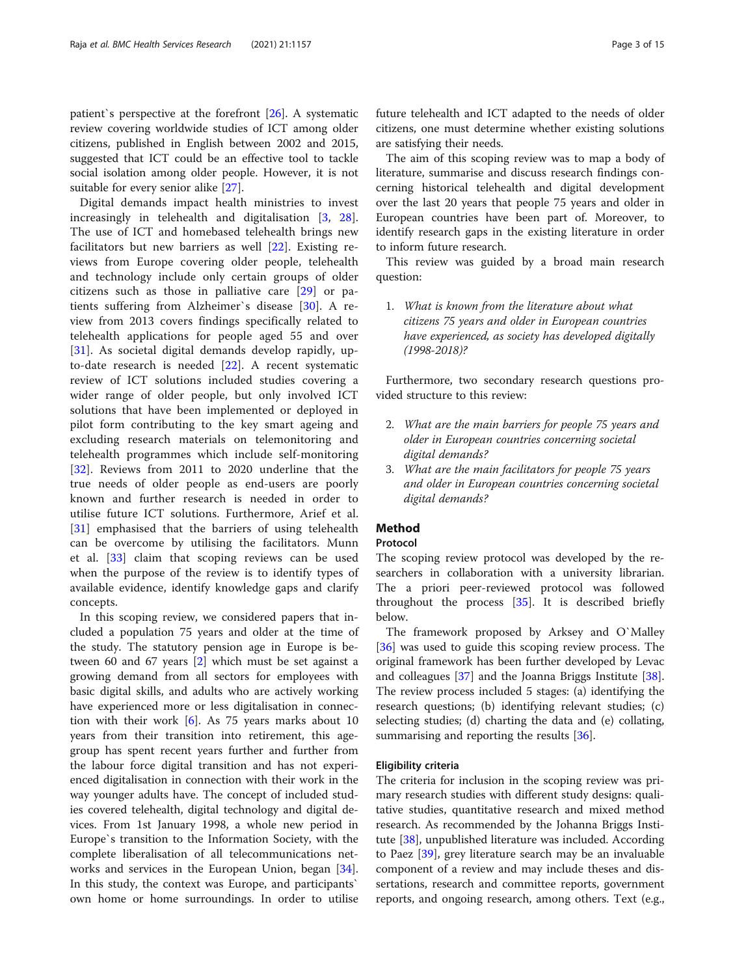patient`s perspective at the forefront [\[26](#page-13-0)]. A systematic review covering worldwide studies of ICT among older citizens, published in English between 2002 and 2015, suggested that ICT could be an effective tool to tackle social isolation among older people. However, it is not suitable for every senior alike [[27](#page-13-0)].

Digital demands impact health ministries to invest increasingly in telehealth and digitalisation [[3](#page-12-0), [28](#page-13-0)]. The use of ICT and homebased telehealth brings new facilitators but new barriers as well [\[22](#page-13-0)]. Existing reviews from Europe covering older people, telehealth and technology include only certain groups of older citizens such as those in palliative care [[29\]](#page-13-0) or patients suffering from Alzheimer`s disease [[30\]](#page-13-0). A review from 2013 covers findings specifically related to telehealth applications for people aged 55 and over [[31\]](#page-13-0). As societal digital demands develop rapidly, upto-date research is needed [\[22](#page-13-0)]. A recent systematic review of ICT solutions included studies covering a wider range of older people, but only involved ICT solutions that have been implemented or deployed in pilot form contributing to the key smart ageing and excluding research materials on telemonitoring and telehealth programmes which include self-monitoring [[32\]](#page-13-0). Reviews from 2011 to 2020 underline that the true needs of older people as end-users are poorly known and further research is needed in order to utilise future ICT solutions. Furthermore, Arief et al. [[31\]](#page-13-0) emphasised that the barriers of using telehealth can be overcome by utilising the facilitators. Munn et al. [\[33](#page-13-0)] claim that scoping reviews can be used when the purpose of the review is to identify types of available evidence, identify knowledge gaps and clarify concepts.

In this scoping review, we considered papers that included a population 75 years and older at the time of the study. The statutory pension age in Europe is between 60 and 67 years [[2\]](#page-12-0) which must be set against a growing demand from all sectors for employees with basic digital skills, and adults who are actively working have experienced more or less digitalisation in connection with their work [[6\]](#page-13-0). As 75 years marks about 10 years from their transition into retirement, this agegroup has spent recent years further and further from the labour force digital transition and has not experienced digitalisation in connection with their work in the way younger adults have. The concept of included studies covered telehealth, digital technology and digital devices. From 1st January 1998, a whole new period in Europe`s transition to the Information Society, with the complete liberalisation of all telecommunications networks and services in the European Union, began [\[34](#page-13-0)]. In this study, the context was Europe, and participants` own home or home surroundings. In order to utilise future telehealth and ICT adapted to the needs of older citizens, one must determine whether existing solutions are satisfying their needs.

The aim of this scoping review was to map a body of literature, summarise and discuss research findings concerning historical telehealth and digital development over the last 20 years that people 75 years and older in European countries have been part of. Moreover, to identify research gaps in the existing literature in order to inform future research.

This review was guided by a broad main research question:

1. What is known from the literature about what citizens 75 years and older in European countries have experienced, as society has developed digitally (1998-2018)?

Furthermore, two secondary research questions provided structure to this review:

- 2. What are the main barriers for people 75 years and older in European countries concerning societal digital demands?
- 3. What are the main facilitators for people 75 years and older in European countries concerning societal digital demands?

#### Method

#### Protocol

The scoping review protocol was developed by the researchers in collaboration with a university librarian. The a priori peer-reviewed protocol was followed throughout the process [\[35](#page-13-0)]. It is described briefly below.

The framework proposed by Arksey and O`Malley [[36\]](#page-13-0) was used to guide this scoping review process. The original framework has been further developed by Levac and colleagues [\[37](#page-13-0)] and the Joanna Briggs Institute [\[38](#page-13-0)]. The review process included 5 stages: (a) identifying the research questions; (b) identifying relevant studies; (c) selecting studies; (d) charting the data and (e) collating, summarising and reporting the results [[36\]](#page-13-0).

#### Eligibility criteria

The criteria for inclusion in the scoping review was primary research studies with different study designs: qualitative studies, quantitative research and mixed method research. As recommended by the Johanna Briggs Institute [[38\]](#page-13-0), unpublished literature was included. According to Paez [[39](#page-13-0)], grey literature search may be an invaluable component of a review and may include theses and dissertations, research and committee reports, government reports, and ongoing research, among others. Text (e.g.,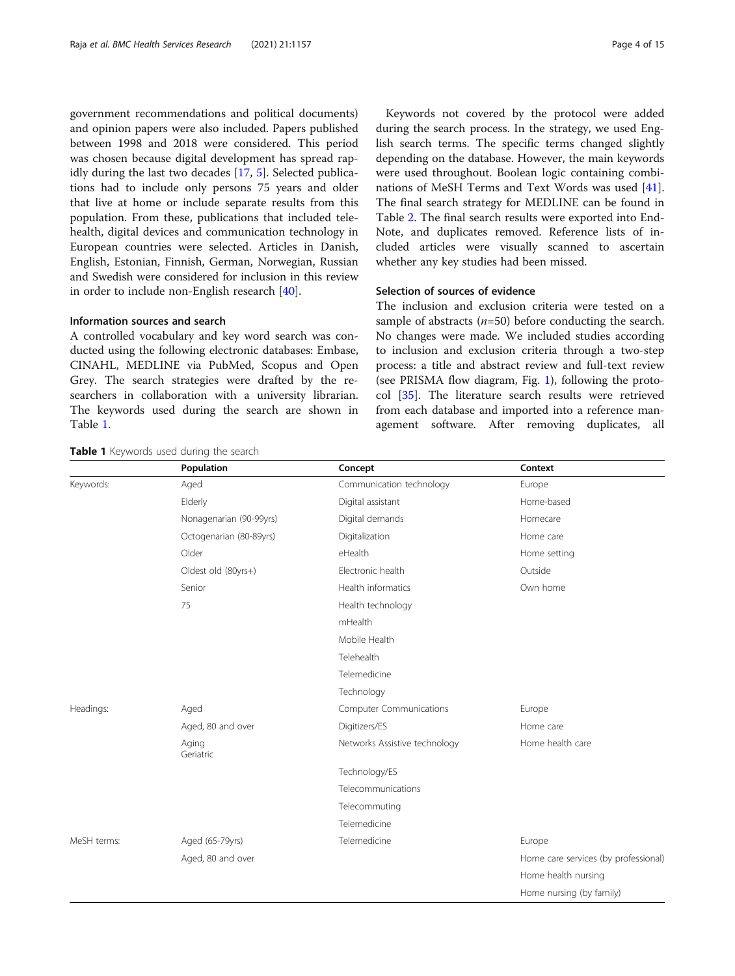government recommendations and political documents) and opinion papers were also included. Papers published between 1998 and 2018 were considered. This period was chosen because digital development has spread rapidly during the last two decades [[17,](#page-13-0) [5\]](#page-13-0). Selected publications had to include only persons 75 years and older that live at home or include separate results from this population. From these, publications that included telehealth, digital devices and communication technology in European countries were selected. Articles in Danish, English, Estonian, Finnish, German, Norwegian, Russian and Swedish were considered for inclusion in this review in order to include non-English research [\[40\]](#page-13-0).

#### Information sources and search

A controlled vocabulary and key word search was conducted using the following electronic databases: Embase, CINAHL, MEDLINE via PubMed, Scopus and Open Grey. The search strategies were drafted by the researchers in collaboration with a university librarian. The keywords used during the search are shown in Table 1.

Keywords not covered by the protocol were added during the search process. In the strategy, we used English search terms. The specific terms changed slightly depending on the database. However, the main keywords were used throughout. Boolean logic containing combinations of MeSH Terms and Text Words was used [\[41](#page-13-0)]. The final search strategy for MEDLINE can be found in Table [2.](#page-4-0) The final search results were exported into End-Note, and duplicates removed. Reference lists of included articles were visually scanned to ascertain whether any key studies had been missed.

#### Selection of sources of evidence

The inclusion and exclusion criteria were tested on a sample of abstracts  $(n=50)$  before conducting the search. No changes were made. We included studies according to inclusion and exclusion criteria through a two-step process: a title and abstract review and full-text review (see PRISMA flow diagram, Fig. [1](#page-5-0)), following the protocol [[35\]](#page-13-0). The literature search results were retrieved from each database and imported into a reference management software. After removing duplicates, all

|             | Population              | Concept                        | Context                              |
|-------------|-------------------------|--------------------------------|--------------------------------------|
| Keywords:   | Aged                    | Communication technology       | Europe                               |
|             | Elderly                 | Digital assistant              | Home-based                           |
|             | Nonagenarian (90-99yrs) | Digital demands                | Homecare                             |
|             | Octogenarian (80-89yrs) | Digitalization                 | Home care                            |
|             | Older                   | eHealth                        | Home setting                         |
|             | Oldest old (80yrs+)     | Electronic health              | Outside                              |
|             | Senior                  | Health informatics             | Own home                             |
|             | 75                      | Health technology              |                                      |
|             |                         | mHealth                        |                                      |
|             |                         | Mobile Health                  |                                      |
|             |                         | Telehealth                     |                                      |
|             |                         | Telemedicine                   |                                      |
|             |                         | Technology                     |                                      |
| Headings:   | Aged                    | <b>Computer Communications</b> | Europe                               |
|             | Aged, 80 and over       | Digitizers/ES                  | Home care                            |
|             | Aging<br>Geriatric      | Networks Assistive technology  | Home health care                     |
|             |                         | Technology/ES                  |                                      |
|             |                         | Telecommunications             |                                      |
|             |                         | Telecommuting                  |                                      |
|             |                         | Telemedicine                   |                                      |
| MeSH terms: | Aged (65-79yrs)         | Telemedicine                   | Europe                               |
|             | Aged, 80 and over       |                                | Home care services (by professional) |
|             |                         |                                | Home health nursing                  |
|             |                         |                                | Home nursing (by family)             |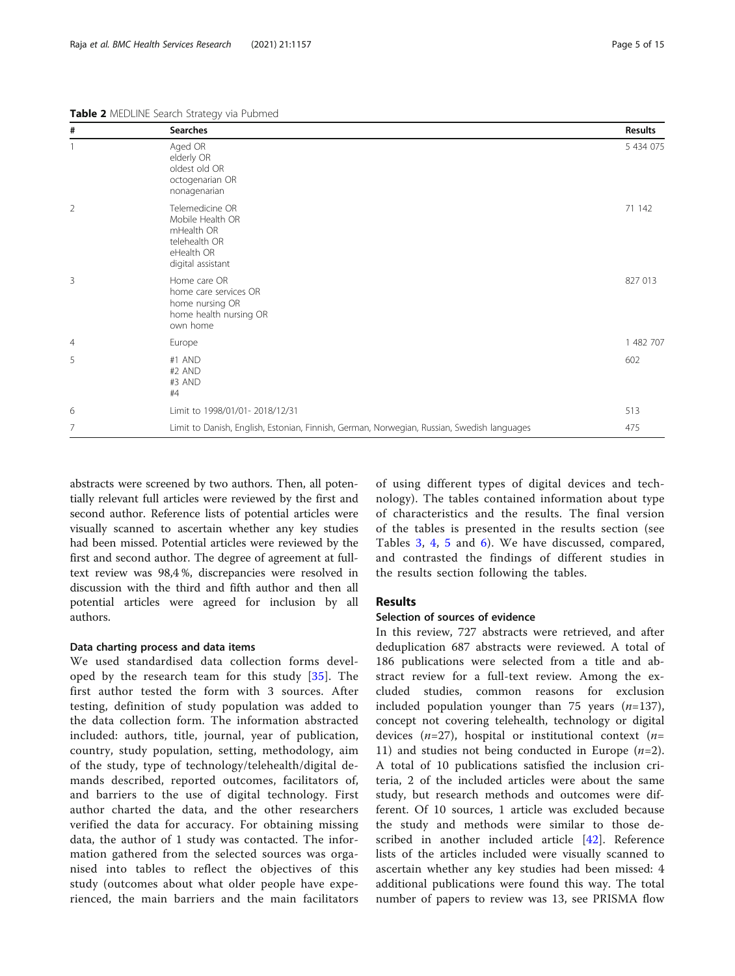<span id="page-4-0"></span>Table 2 MEDLINE Search Strategy via Pubmed

| #              | <b>Searches</b>                                                                                       | <b>Results</b> |
|----------------|-------------------------------------------------------------------------------------------------------|----------------|
|                | Aged OR<br>elderly OR<br>oldest old OR<br>octogenarian OR<br>nonagenarian                             | 5 434 075      |
| $\overline{2}$ | Telemedicine OR<br>Mobile Health OR<br>mHealth OR<br>telehealth OR<br>eHealth OR<br>digital assistant | 71 142         |
| 3              | Home care OR<br>home care services OR<br>home nursing OR<br>home health nursing OR<br>own home        | 827 013        |
| $\overline{4}$ | Europe                                                                                                | 1 482 707      |
| 5              | #1 AND<br>#2 AND<br>#3 AND<br>#4                                                                      | 602            |
| 6              | Limit to 1998/01/01-2018/12/31                                                                        | 513            |
| 7              | Limit to Danish, English, Estonian, Finnish, German, Norwegian, Russian, Swedish languages            | 475            |

abstracts were screened by two authors. Then, all potentially relevant full articles were reviewed by the first and second author. Reference lists of potential articles were visually scanned to ascertain whether any key studies had been missed. Potential articles were reviewed by the first and second author. The degree of agreement at fulltext review was 98,4 %, discrepancies were resolved in discussion with the third and fifth author and then all potential articles were agreed for inclusion by all authors.

#### Data charting process and data items

We used standardised data collection forms developed by the research team for this study [[35\]](#page-13-0). The first author tested the form with 3 sources. After testing, definition of study population was added to the data collection form. The information abstracted included: authors, title, journal, year of publication, country, study population, setting, methodology, aim of the study, type of technology/telehealth/digital demands described, reported outcomes, facilitators of, and barriers to the use of digital technology. First author charted the data, and the other researchers verified the data for accuracy. For obtaining missing data, the author of 1 study was contacted. The information gathered from the selected sources was organised into tables to reflect the objectives of this study (outcomes about what older people have experienced, the main barriers and the main facilitators

of using different types of digital devices and technology). The tables contained information about type of characteristics and the results. The final version of the tables is presented in the results section (see Tables [3](#page-6-0), [4,](#page-7-0) [5](#page-8-0) and [6\)](#page-9-0). We have discussed, compared, and contrasted the findings of different studies in the results section following the tables.

#### Results

#### Selection of sources of evidence

In this review, 727 abstracts were retrieved, and after deduplication 687 abstracts were reviewed. A total of 186 publications were selected from a title and abstract review for a full-text review. Among the excluded studies, common reasons for exclusion included population younger than 75 years  $(n=137)$ , concept not covering telehealth, technology or digital devices ( $n=27$ ), hospital or institutional context ( $n=$ 11) and studies not being conducted in Europe  $(n=2)$ . A total of 10 publications satisfied the inclusion criteria, 2 of the included articles were about the same study, but research methods and outcomes were different. Of 10 sources, 1 article was excluded because the study and methods were similar to those de-scribed in another included article [\[42](#page-13-0)]. Reference lists of the articles included were visually scanned to ascertain whether any key studies had been missed: 4 additional publications were found this way. The total number of papers to review was 13, see PRISMA flow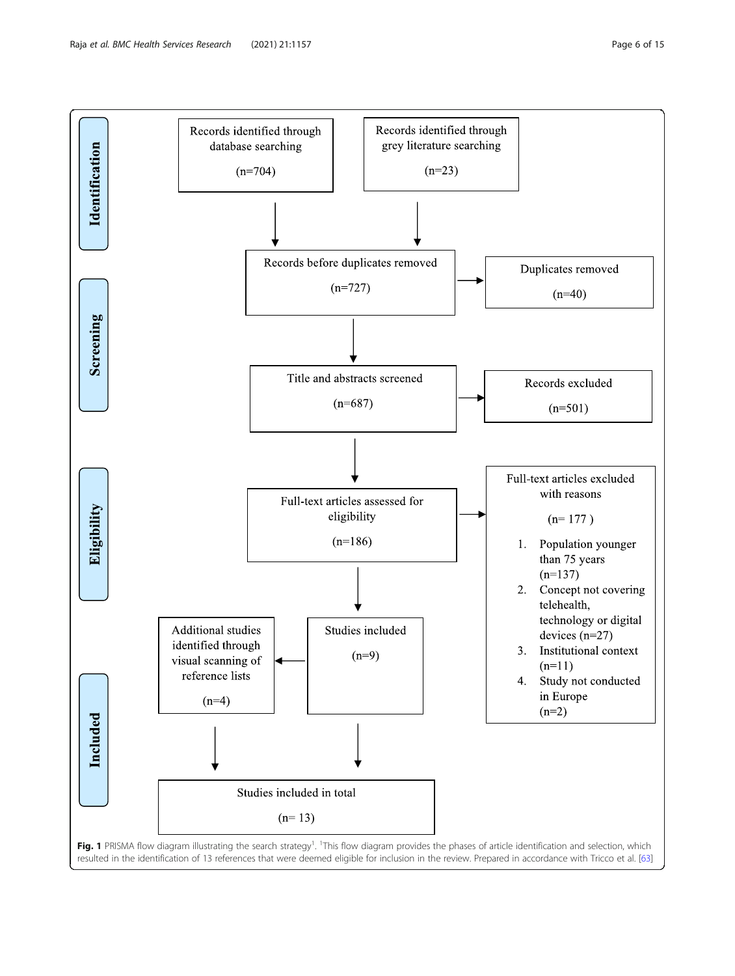<span id="page-5-0"></span>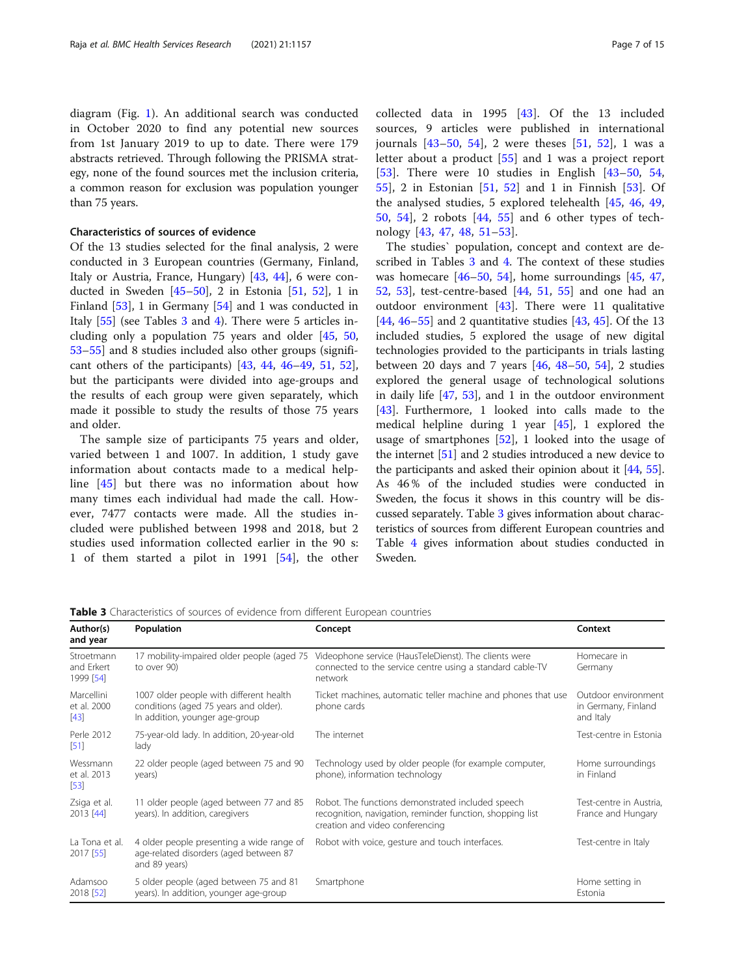<span id="page-6-0"></span>in October 2020 to find any potential new sources from 1st January 2019 to up to date. There were 179 abstracts retrieved. Through following the PRISMA strategy, none of the found sources met the inclusion criteria, a common reason for exclusion was population younger than 75 years.

#### Characteristics of sources of evidence

Of the 13 studies selected for the final analysis, 2 were conducted in 3 European countries (Germany, Finland, Italy or Austria, France, Hungary) [[43](#page-13-0), [44](#page-13-0)], 6 were conducted in Sweden  $[45-50]$  $[45-50]$  $[45-50]$  $[45-50]$  $[45-50]$ , 2 in Estonia  $[51, 52]$  $[51, 52]$  $[51, 52]$  $[51, 52]$ , 1 in Finland [[53\]](#page-14-0), 1 in Germany [[54\]](#page-14-0) and 1 was conducted in Italy [\[55\]](#page-14-0) (see Tables 3 and [4\)](#page-7-0). There were 5 articles including only a population 75 years and older [[45,](#page-13-0) [50](#page-14-0), [53](#page-14-0)–[55](#page-14-0)] and 8 studies included also other groups (significant others of the participants)  $[43, 44, 46-49, 51, 52]$  $[43, 44, 46-49, 51, 52]$  $[43, 44, 46-49, 51, 52]$  $[43, 44, 46-49, 51, 52]$  $[43, 44, 46-49, 51, 52]$  $[43, 44, 46-49, 51, 52]$  $[43, 44, 46-49, 51, 52]$  $[43, 44, 46-49, 51, 52]$  $[43, 44, 46-49, 51, 52]$  $[43, 44, 46-49, 51, 52]$  $[43, 44, 46-49, 51, 52]$  $[43, 44, 46-49, 51, 52]$ , but the participants were divided into age-groups and the results of each group were given separately, which made it possible to study the results of those 75 years and older.

The sample size of participants 75 years and older, varied between 1 and 1007. In addition, 1 study gave information about contacts made to a medical helpline [[45\]](#page-13-0) but there was no information about how many times each individual had made the call. However, 7477 contacts were made. All the studies included were published between 1998 and 2018, but 2 studies used information collected earlier in the 90 s: 1 of them started a pilot in 1991 [[54\]](#page-14-0), the other collected data in 1995 [\[43](#page-13-0)]. Of the 13 included sources, 9 articles were published in international journals  $[43-50, 54]$  $[43-50, 54]$  $[43-50, 54]$  $[43-50, 54]$  $[43-50, 54]$  $[43-50, 54]$ , 2 were theses  $[51, 52]$  $[51, 52]$  $[51, 52]$  $[51, 52]$  $[51, 52]$ , 1 was a letter about a product [[55\]](#page-14-0) and 1 was a project report [[53\]](#page-14-0). There were 10 studies in English [[43](#page-13-0)–[50,](#page-14-0) [54](#page-14-0), [55\]](#page-14-0), 2 in Estonian [[51,](#page-14-0) [52](#page-14-0)] and 1 in Finnish [[53\]](#page-14-0). Of the analysed studies, 5 explored telehealth [[45,](#page-13-0) [46](#page-13-0), [49](#page-13-0), [50,](#page-14-0) [54\]](#page-14-0), 2 robots [\[44](#page-13-0), [55](#page-14-0)] and 6 other types of technology [[43,](#page-13-0) [47,](#page-13-0) [48](#page-13-0), [51](#page-14-0)–[53](#page-14-0)].

The studies` population, concept and context are described in Tables 3 and [4.](#page-7-0) The context of these studies was homecare  $[46–50, 54]$  $[46–50, 54]$  $[46–50, 54]$  $[46–50, 54]$  $[46–50, 54]$ , home surroundings  $[45, 47]$  $[45, 47]$  $[45, 47]$  $[45, 47]$  $[45, 47]$ , [52,](#page-14-0) [53](#page-14-0)], test-centre-based [\[44,](#page-13-0) [51](#page-14-0), [55](#page-14-0)] and one had an outdoor environment [[43](#page-13-0)]. There were 11 qualitative [[44,](#page-13-0) [46](#page-13-0)–[55](#page-14-0)] and 2 quantitative studies [\[43](#page-13-0), [45](#page-13-0)]. Of the 13 included studies, 5 explored the usage of new digital technologies provided to the participants in trials lasting between 20 days and 7 years [\[46](#page-13-0), [48](#page-13-0)–[50,](#page-14-0) [54\]](#page-14-0), 2 studies explored the general usage of technological solutions in daily life [[47,](#page-13-0) [53](#page-14-0)], and 1 in the outdoor environment [[43\]](#page-13-0). Furthermore, 1 looked into calls made to the medical helpline during 1 year [[45\]](#page-13-0), 1 explored the usage of smartphones  $[52]$  $[52]$  $[52]$ , 1 looked into the usage of the internet [[51](#page-14-0)] and 2 studies introduced a new device to the participants and asked their opinion about it [[44](#page-13-0), [55](#page-14-0)]. As 46 % of the included studies were conducted in Sweden, the focus it shows in this country will be discussed separately. Table 3 gives information about characteristics of sources from different European countries and Table [4](#page-7-0) gives information about studies conducted in Sweden.

Table 3 Characteristics of sources of evidence from different European countries

| Author(s)<br>and year                 | Population                                                                                                         | Concept                                                                                                                                           | Context                                                 |
|---------------------------------------|--------------------------------------------------------------------------------------------------------------------|---------------------------------------------------------------------------------------------------------------------------------------------------|---------------------------------------------------------|
| Stroetmann<br>and Erkert<br>1999 [54] | 17 mobility-impaired older people (aged 75<br>to over 90)                                                          | Videophone service (HausTeleDienst). The clients were<br>connected to the service centre using a standard cable-TV<br>network                     | Homecare in<br>Germany                                  |
| Marcellini<br>et al. 2000<br>$[43]$   | 1007 older people with different health<br>conditions (aged 75 years and older).<br>In addition, younger age-group | Ticket machines, automatic teller machine and phones that use<br>phone cards                                                                      | Outdoor environment<br>in Germany, Finland<br>and Italy |
| Perle 2012<br>[51]                    | 75-year-old lady. In addition, 20-year-old<br>lady                                                                 | The internet                                                                                                                                      | Test-centre in Estonia                                  |
| Wessmann<br>et al. 2013<br>$[53]$     | 22 older people (aged between 75 and 90<br>years)                                                                  | Technology used by older people (for example computer,<br>phone), information technology                                                          | Home surroundings<br>in Finland                         |
| Zsiga et al.<br>2013 [44]             | 11 older people (aged between 77 and 85<br>years). In addition, caregivers                                         | Robot. The functions demonstrated included speech<br>recognition, navigation, reminder function, shopping list<br>creation and video conferencing | Test-centre in Austria,<br>France and Hungary           |
| La Tona et al.<br>2017 [55]           | 4 older people presenting a wide range of<br>age-related disorders (aged between 87<br>and 89 years)               | Robot with voice, gesture and touch interfaces.                                                                                                   | Test-centre in Italy                                    |
| Adamsoo<br>2018 [52]                  | 5 older people (aged between 75 and 81<br>years). In addition, younger age-group                                   | Smartphone                                                                                                                                        | Home setting in<br>Estonia                              |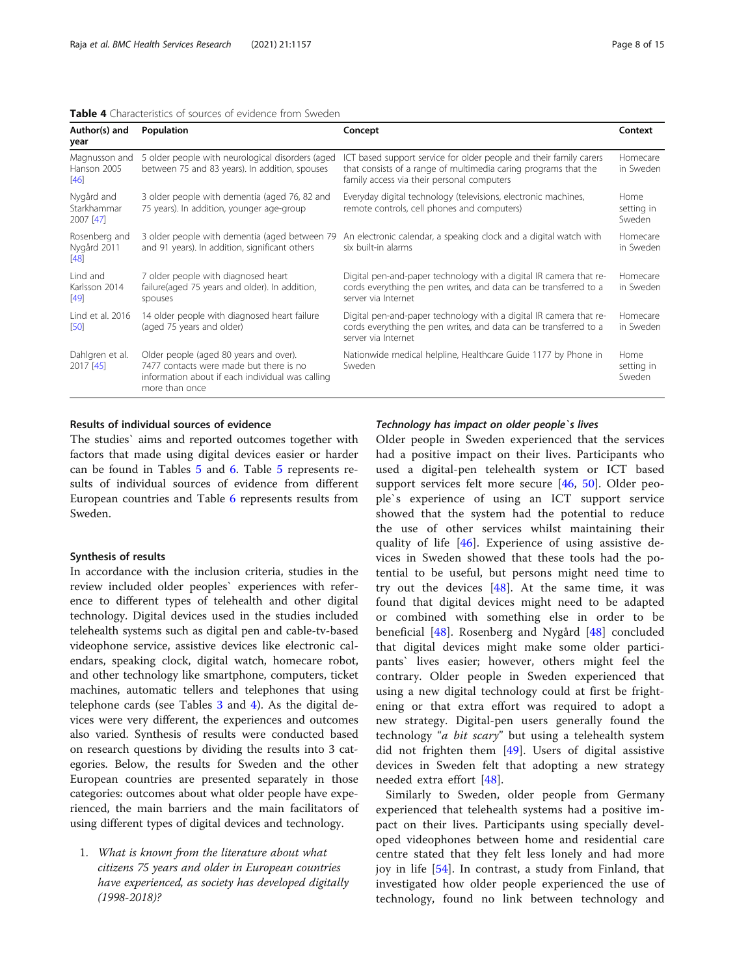<span id="page-7-0"></span>

| Author(s) and<br>year                  | Population                                                                                                                                              | Concept                                                                                                                                                                             | Context                      |
|----------------------------------------|---------------------------------------------------------------------------------------------------------------------------------------------------------|-------------------------------------------------------------------------------------------------------------------------------------------------------------------------------------|------------------------------|
| Magnusson and<br>Hanson 2005<br>[46]   | 5 older people with neurological disorders (aged<br>between 75 and 83 years). In addition, spouses                                                      | ICT based support service for older people and their family carers<br>that consists of a range of multimedia caring programs that the<br>family access via their personal computers | Homecare<br>in Sweden        |
| Nygård and<br>Starkhammar<br>2007 [47] | 3 older people with dementia (aged 76, 82 and<br>75 years). In addition, younger age-group                                                              | Everyday digital technology (televisions, electronic machines,<br>remote controls, cell phones and computers)                                                                       | Home<br>setting in<br>Sweden |
| Rosenberg and<br>Nygård 2011<br>[48]   | 3 older people with dementia (aged between 79<br>and 91 years). In addition, significant others                                                         | An electronic calendar, a speaking clock and a digital watch with<br>six built-in alarms                                                                                            | Homecare<br>in Sweden        |
| Lind and<br>Karlsson 2014<br>[49]      | 7 older people with diagnosed heart<br>failure(aged 75 years and older). In addition,<br>spouses                                                        | Digital pen-and-paper technology with a digital IR camera that re-<br>cords everything the pen writes, and data can be transferred to a<br>server via Internet                      | Homecare<br>in Sweden        |
| Lind et al. 2016<br>[50]               | 14 older people with diagnosed heart failure<br>(aged 75 years and older)                                                                               | Digital pen-and-paper technology with a digital IR camera that re-<br>cords everything the pen writes, and data can be transferred to a<br>server via Internet                      | Homecare<br>in Sweden        |
| Dahlgren et al.<br>2017 [45]           | Older people (aged 80 years and over).<br>7477 contacts were made but there is no<br>information about if each individual was calling<br>more than once | Nationwide medical helpline, Healthcare Guide 1177 by Phone in<br>Sweden                                                                                                            | Home<br>setting in<br>Sweden |

#### Results of individual sources of evidence

The studies` aims and reported outcomes together with factors that made using digital devices easier or harder can be found in Tables [5](#page-8-0) and [6](#page-9-0). Table [5](#page-8-0) represents results of individual sources of evidence from different European countries and Table [6](#page-9-0) represents results from Sweden.

#### Synthesis of results

In accordance with the inclusion criteria, studies in the review included older peoples` experiences with reference to different types of telehealth and other digital technology. Digital devices used in the studies included telehealth systems such as digital pen and cable-tv-based videophone service, assistive devices like electronic calendars, speaking clock, digital watch, homecare robot, and other technology like smartphone, computers, ticket machines, automatic tellers and telephones that using telephone cards (see Tables [3](#page-6-0) and 4). As the digital devices were very different, the experiences and outcomes also varied. Synthesis of results were conducted based on research questions by dividing the results into 3 categories. Below, the results for Sweden and the other European countries are presented separately in those categories: outcomes about what older people have experienced, the main barriers and the main facilitators of using different types of digital devices and technology.

1. What is known from the literature about what citizens 75 years and older in European countries have experienced, as society has developed digitally (1998-2018)?

#### Technology has impact on older people`s lives

Older people in Sweden experienced that the services had a positive impact on their lives. Participants who used a digital-pen telehealth system or ICT based support services felt more secure [\[46](#page-13-0), [50\]](#page-14-0). Older people`s experience of using an ICT support service showed that the system had the potential to reduce the use of other services whilst maintaining their quality of life [\[46](#page-13-0)]. Experience of using assistive devices in Sweden showed that these tools had the potential to be useful, but persons might need time to try out the devices  $[48]$  $[48]$ . At the same time, it was found that digital devices might need to be adapted or combined with something else in order to be beneficial [[48](#page-13-0)]. Rosenberg and Nygård [\[48](#page-13-0)] concluded that digital devices might make some older participants` lives easier; however, others might feel the contrary. Older people in Sweden experienced that using a new digital technology could at first be frightening or that extra effort was required to adopt a new strategy. Digital-pen users generally found the technology "a bit scary" but using a telehealth system did not frighten them  $[49]$  $[49]$ . Users of digital assistive devices in Sweden felt that adopting a new strategy needed extra effort [[48\]](#page-13-0).

Similarly to Sweden, older people from Germany experienced that telehealth systems had a positive impact on their lives. Participants using specially developed videophones between home and residential care centre stated that they felt less lonely and had more joy in life [\[54](#page-14-0)]. In contrast, a study from Finland, that investigated how older people experienced the use of technology, found no link between technology and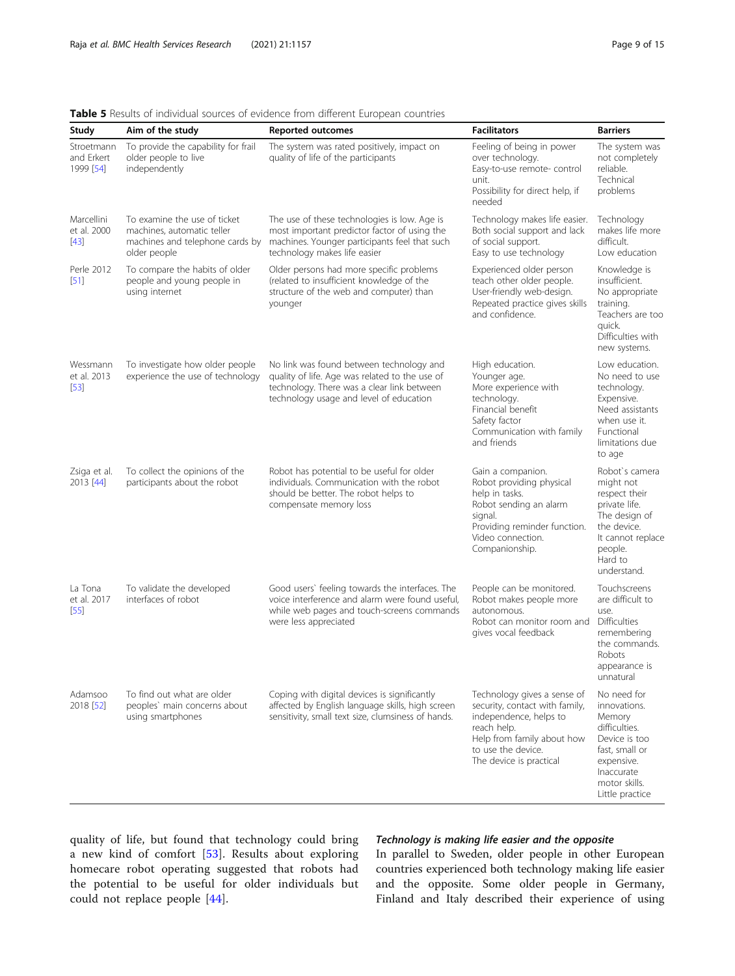#### Study Aim of the study **Reported outcomes Facilitators Example 1** Barriers **Barriers** Stroetmann and Erkert 1999 [\[54](#page-14-0)] To provide the capability for frail older people to live independently The system was rated positively, impact on quality of life of the participants Feeling of being in power over technology. Easy-to-use remote- control unit. Possibility for direct help, if needed The system was not completely reliable. Technical problems Marcellini et al. 2000 [[43](#page-13-0)] To examine the use of ticket machines, automatic teller machines and telephone cards by older people The use of these technologies is low. Age is most important predictor factor of using the machines. Younger participants feel that such technology makes life easier Technology makes life easier. Both social support and lack of social support. Easy to use technology Technology makes life more difficult. Low education Perle 2012 [[51](#page-14-0)] To compare the habits of older people and young people in using internet Older persons had more specific problems (related to insufficient knowledge of the structure of the web and computer) than younger Experienced older person teach other older people. User-friendly web-design. Repeated practice gives skills and confidence. Knowledge is insufficient. No appropriate training. Teachers are too quick. Difficulties with new systems. Wessmann et al. 2013 [[53](#page-14-0)] To investigate how older people experience the use of technology No link was found between technology and quality of life. Age was related to the use of technology. There was a clear link between technology usage and level of education High education. Younger age. More experience with technology. Financial benefit Safety factor Communication with family and friends Low education. No need to use technology. Expensive. Need assistants when use it. Functional limitations due to age Zsiga et al. 2013 [\[44](#page-13-0)] To collect the opinions of the participants about the robot Robot has potential to be useful for older individuals. Communication with the robot should be better. The robot helps to compensate memory loss Gain a companion. Robot providing physical help in tasks. Robot sending an alarm signal. Providing reminder function. Video connection. Companionship. Robot`s camera might not respect their private life. The design of the device. It cannot replace people. Hard to understand. La Tona et al. 2017 [[55](#page-14-0)] To validate the developed interfaces of robot Good users` feeling towards the interfaces. The voice interference and alarm were found useful, while web pages and touch-screens commands were less appreciated People can be monitored. Robot makes people more autonomous. Robot can monitor room and gives vocal feedback Touchscreens are difficult to use. Difficulties remembering the commands. Robots appearance is unnatural Adamsoo 2018 [\[52](#page-14-0)] To find out what are older peoples` main concerns about using smartphones Coping with digital devices is significantly affected by English language skills, high screen sensitivity, small text size, clumsiness of hands. Technology gives a sense of security, contact with family, independence, helps to reach help. Help from family about how to use the device. The device is practical No need for innovations. Memory difficulties. Device is too fast, small or expensive. Inaccurate motor skills. Little practice

#### <span id="page-8-0"></span>Table 5 Results of individual sources of evidence from different European countries

quality of life, but found that technology could bring a new kind of comfort [[53](#page-14-0)]. Results about exploring homecare robot operating suggested that robots had the potential to be useful for older individuals but could not replace people [[44\]](#page-13-0).

#### Technology is making life easier and the opposite

In parallel to Sweden, older people in other European countries experienced both technology making life easier and the opposite. Some older people in Germany, Finland and Italy described their experience of using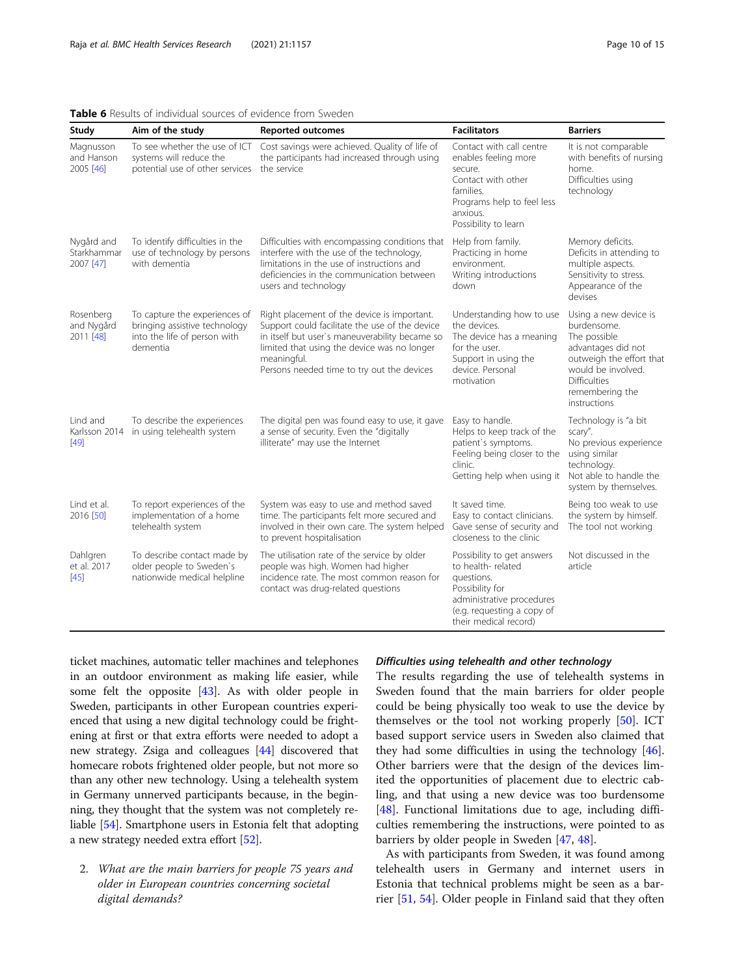| Study                                  | Aim of the study                                                                                           | Reported outcomes                                                                                                                                                                                                                                           | <b>Facilitators</b>                                                                                                                                                  | <b>Barriers</b>                                                                                                                                                                        |
|----------------------------------------|------------------------------------------------------------------------------------------------------------|-------------------------------------------------------------------------------------------------------------------------------------------------------------------------------------------------------------------------------------------------------------|----------------------------------------------------------------------------------------------------------------------------------------------------------------------|----------------------------------------------------------------------------------------------------------------------------------------------------------------------------------------|
| Magnusson<br>and Hanson<br>2005 [46]   | To see whether the use of ICT<br>systems will reduce the<br>potential use of other services                | Cost savings were achieved. Quality of life of<br>the participants had increased through using<br>the service                                                                                                                                               | Contact with call centre<br>enables feeling more<br>secure.<br>Contact with other<br>families.<br>Programs help to feel less<br>anxious.<br>Possibility to learn     | It is not comparable<br>with benefits of nursing<br>home.<br>Difficulties using<br>technology                                                                                          |
| Nygård and<br>Starkhammar<br>2007 [47] | To identify difficulties in the<br>use of technology by persons<br>with dementia                           | Difficulties with encompassing conditions that<br>interfere with the use of the technology,<br>limitations in the use of instructions and<br>deficiencies in the communication between<br>users and technology                                              | Help from family.<br>Practicing in home<br>environment.<br>Writing introductions<br>down                                                                             | Memory deficits.<br>Deficits in attending to<br>multiple aspects.<br>Sensitivity to stress.<br>Appearance of the<br>devises                                                            |
| Rosenberg<br>and Nygård<br>2011 [48]   | To capture the experiences of<br>bringing assistive technology<br>into the life of person with<br>dementia | Right placement of the device is important.<br>Support could facilitate the use of the device<br>in itself but user's maneuverability became so<br>limited that using the device was no longer<br>meaningful.<br>Persons needed time to try out the devices | Understanding how to use<br>the devices.<br>The device has a meaning<br>for the user.<br>Support in using the<br>device. Personal<br>motivation                      | Using a new device is<br>burdensome.<br>The possible<br>advantages did not<br>outweigh the effort that<br>would be involved.<br><b>Difficulties</b><br>remembering the<br>instructions |
| Lind and<br>$[49]$                     | To describe the experiences<br>Karlsson 2014 in using telehealth system                                    | The digital pen was found easy to use, it gave<br>a sense of security. Even the "digitally<br>illiterate" may use the Internet                                                                                                                              | Easy to handle.<br>Helps to keep track of the<br>patient's symptoms.<br>Feeling being closer to the<br>clinic.<br>Getting help when using it                         | Technology is "a bit<br>scary".<br>No previous experience<br>using similar<br>technology.<br>Not able to handle the<br>system by themselves.                                           |
| Lind et al.<br>2016 [50]               | To report experiences of the<br>implementation of a home<br>telehealth system                              | System was easy to use and method saved<br>time. The participants felt more secured and<br>involved in their own care. The system helped<br>to prevent hospitalisation                                                                                      | It saved time.<br>Easy to contact clinicians.<br>Gave sense of security and<br>closeness to the clinic                                                               | Being too weak to use<br>the system by himself.<br>The tool not working                                                                                                                |
| Dahlgren<br>et al. 2017<br>$[45]$      | To describe contact made by<br>older people to Sweden's<br>nationwide medical helpline                     | The utilisation rate of the service by older<br>people was high. Women had higher<br>incidence rate. The most common reason for<br>contact was drug-related questions                                                                                       | Possibility to get answers<br>to health-related<br>questions.<br>Possibility for<br>administrative procedures<br>(e.g. requesting a copy of<br>their medical record) | Not discussed in the<br>article                                                                                                                                                        |

### <span id="page-9-0"></span>Table 6 Results of individual sources of evidence from Sweden

ticket machines, automatic teller machines and telephones in an outdoor environment as making life easier, while some felt the opposite [[43](#page-13-0)]. As with older people in Sweden, participants in other European countries experienced that using a new digital technology could be frightening at first or that extra efforts were needed to adopt a new strategy. Zsiga and colleagues [\[44\]](#page-13-0) discovered that homecare robots frightened older people, but not more so than any other new technology. Using a telehealth system in Germany unnerved participants because, in the beginning, they thought that the system was not completely reliable [\[54\]](#page-14-0). Smartphone users in Estonia felt that adopting a new strategy needed extra effort [\[52](#page-14-0)].

2. What are the main barriers for people 75 years and older in European countries concerning societal digital demands?

#### Difficulties using telehealth and other technology

The results regarding the use of telehealth systems in Sweden found that the main barriers for older people could be being physically too weak to use the device by themselves or the tool not working properly [[50](#page-14-0)]. ICT based support service users in Sweden also claimed that they had some difficulties in using the technology [\[46](#page-13-0)]. Other barriers were that the design of the devices limited the opportunities of placement due to electric cabling, and that using a new device was too burdensome [[48\]](#page-13-0). Functional limitations due to age, including difficulties remembering the instructions, were pointed to as barriers by older people in Sweden [\[47](#page-13-0), [48](#page-13-0)].

As with participants from Sweden, it was found among telehealth users in Germany and internet users in Estonia that technical problems might be seen as a barrier [\[51,](#page-14-0) [54\]](#page-14-0). Older people in Finland said that they often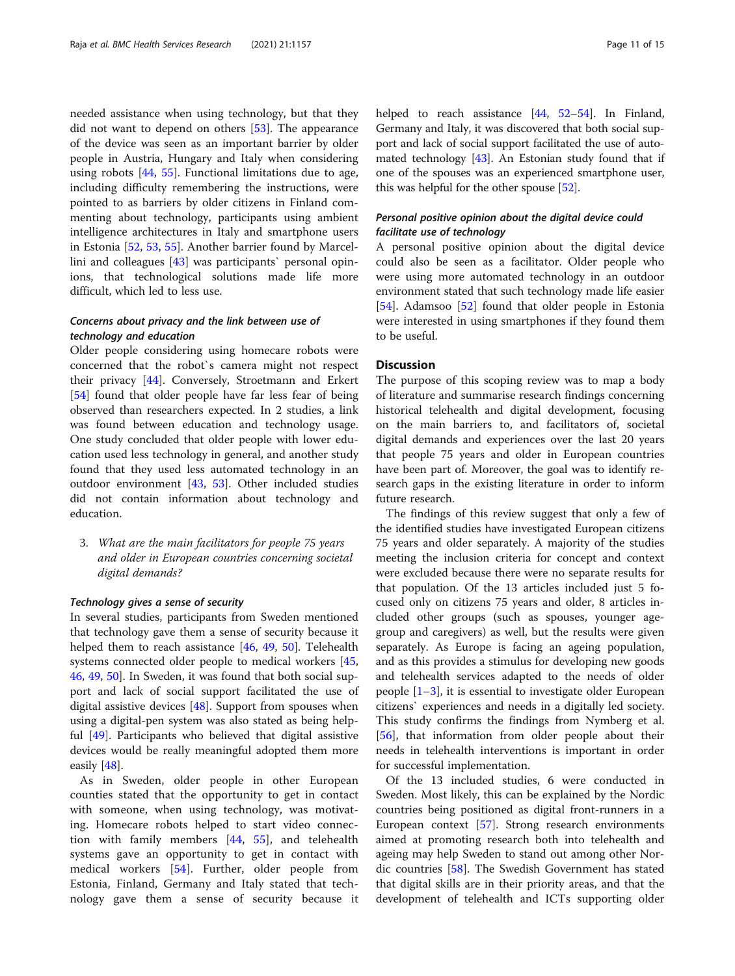needed assistance when using technology, but that they did not want to depend on others [[53\]](#page-14-0). The appearance of the device was seen as an important barrier by older people in Austria, Hungary and Italy when considering using robots [\[44,](#page-13-0) [55\]](#page-14-0). Functional limitations due to age, including difficulty remembering the instructions, were pointed to as barriers by older citizens in Finland commenting about technology, participants using ambient intelligence architectures in Italy and smartphone users in Estonia [[52](#page-14-0), [53](#page-14-0), [55](#page-14-0)]. Another barrier found by Marcellini and colleagues [\[43](#page-13-0)] was participants` personal opinions, that technological solutions made life more difficult, which led to less use.

#### Concerns about privacy and the link between use of technology and education

Older people considering using homecare robots were concerned that the robot`s camera might not respect their privacy [[44\]](#page-13-0). Conversely, Stroetmann and Erkert [[54\]](#page-14-0) found that older people have far less fear of being observed than researchers expected. In 2 studies, a link was found between education and technology usage. One study concluded that older people with lower education used less technology in general, and another study found that they used less automated technology in an outdoor environment [\[43](#page-13-0), [53](#page-14-0)]. Other included studies did not contain information about technology and education.

3. What are the main facilitators for people 75 years and older in European countries concerning societal digital demands?

#### Technology gives a sense of security

In several studies, participants from Sweden mentioned that technology gave them a sense of security because it helped them to reach assistance [\[46](#page-13-0), [49,](#page-13-0) [50](#page-14-0)]. Telehealth systems connected older people to medical workers [[45](#page-13-0), [46,](#page-13-0) [49](#page-13-0), [50](#page-14-0)]. In Sweden, it was found that both social support and lack of social support facilitated the use of digital assistive devices [[48\]](#page-13-0). Support from spouses when using a digital-pen system was also stated as being helpful [\[49\]](#page-13-0). Participants who believed that digital assistive devices would be really meaningful adopted them more easily [[48\]](#page-13-0).

As in Sweden, older people in other European counties stated that the opportunity to get in contact with someone, when using technology, was motivating. Homecare robots helped to start video connection with family members [\[44](#page-13-0), [55](#page-14-0)], and telehealth systems gave an opportunity to get in contact with medical workers [[54](#page-14-0)]. Further, older people from Estonia, Finland, Germany and Italy stated that technology gave them a sense of security because it helped to reach assistance [\[44](#page-13-0), [52](#page-14-0)-[54\]](#page-14-0). In Finland, Germany and Italy, it was discovered that both social support and lack of social support facilitated the use of automated technology  $[43]$ . An Estonian study found that if one of the spouses was an experienced smartphone user, this was helpful for the other spouse [\[52](#page-14-0)].

### Personal positive opinion about the digital device could facilitate use of technology

A personal positive opinion about the digital device could also be seen as a facilitator. Older people who were using more automated technology in an outdoor environment stated that such technology made life easier [[54\]](#page-14-0). Adamsoo [[52](#page-14-0)] found that older people in Estonia were interested in using smartphones if they found them to be useful.

#### **Discussion**

The purpose of this scoping review was to map a body of literature and summarise research findings concerning historical telehealth and digital development, focusing on the main barriers to, and facilitators of, societal digital demands and experiences over the last 20 years that people 75 years and older in European countries have been part of. Moreover, the goal was to identify research gaps in the existing literature in order to inform future research.

The findings of this review suggest that only a few of the identified studies have investigated European citizens 75 years and older separately. A majority of the studies meeting the inclusion criteria for concept and context were excluded because there were no separate results for that population. Of the 13 articles included just 5 focused only on citizens 75 years and older, 8 articles included other groups (such as spouses, younger agegroup and caregivers) as well, but the results were given separately. As Europe is facing an ageing population, and as this provides a stimulus for developing new goods and telehealth services adapted to the needs of older people  $[1-3]$  $[1-3]$  $[1-3]$  $[1-3]$ , it is essential to investigate older European citizens` experiences and needs in a digitally led society. This study confirms the findings from Nymberg et al. [[56\]](#page-14-0), that information from older people about their needs in telehealth interventions is important in order for successful implementation.

Of the 13 included studies, 6 were conducted in Sweden. Most likely, this can be explained by the Nordic countries being positioned as digital front-runners in a European context [[57\]](#page-14-0). Strong research environments aimed at promoting research both into telehealth and ageing may help Sweden to stand out among other Nordic countries [[58](#page-14-0)]. The Swedish Government has stated that digital skills are in their priority areas, and that the development of telehealth and ICTs supporting older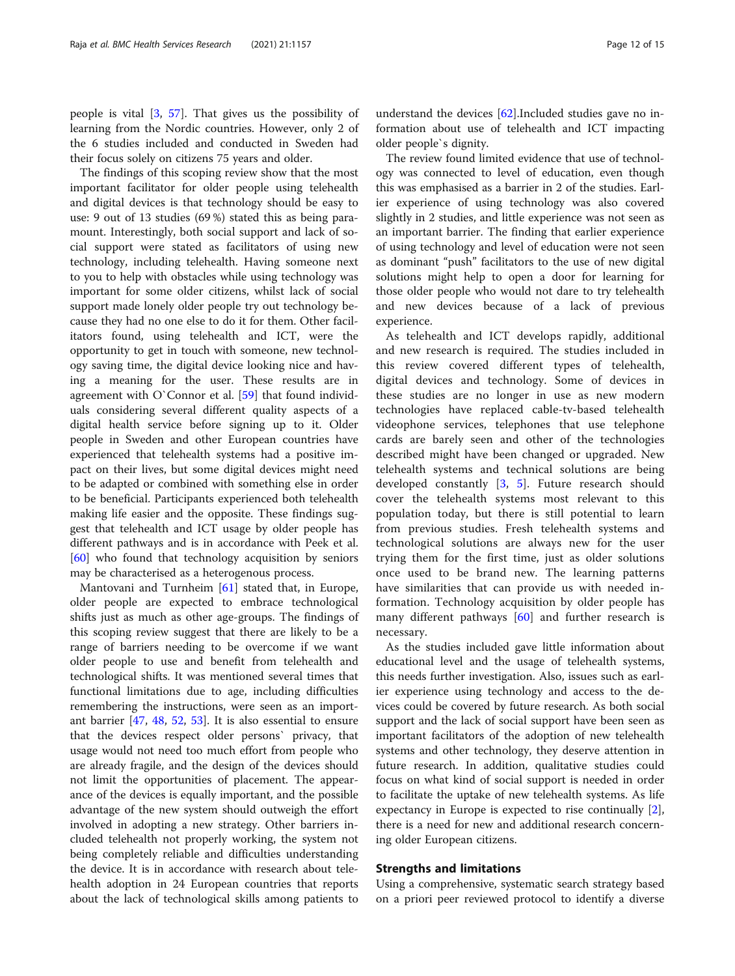people is vital [[3,](#page-12-0) [57](#page-14-0)]. That gives us the possibility of learning from the Nordic countries. However, only 2 of the 6 studies included and conducted in Sweden had their focus solely on citizens 75 years and older.

The findings of this scoping review show that the most important facilitator for older people using telehealth and digital devices is that technology should be easy to use: 9 out of 13 studies (69 %) stated this as being paramount. Interestingly, both social support and lack of social support were stated as facilitators of using new technology, including telehealth. Having someone next to you to help with obstacles while using technology was important for some older citizens, whilst lack of social support made lonely older people try out technology because they had no one else to do it for them. Other facilitators found, using telehealth and ICT, were the opportunity to get in touch with someone, new technology saving time, the digital device looking nice and having a meaning for the user. These results are in agreement with O`Connor et al. [\[59](#page-14-0)] that found individuals considering several different quality aspects of a digital health service before signing up to it. Older people in Sweden and other European countries have experienced that telehealth systems had a positive impact on their lives, but some digital devices might need to be adapted or combined with something else in order to be beneficial. Participants experienced both telehealth making life easier and the opposite. These findings suggest that telehealth and ICT usage by older people has different pathways and is in accordance with Peek et al. [[60\]](#page-14-0) who found that technology acquisition by seniors may be characterised as a heterogenous process.

Mantovani and Turnheim [\[61\]](#page-14-0) stated that, in Europe, older people are expected to embrace technological shifts just as much as other age-groups. The findings of this scoping review suggest that there are likely to be a range of barriers needing to be overcome if we want older people to use and benefit from telehealth and technological shifts. It was mentioned several times that functional limitations due to age, including difficulties remembering the instructions, were seen as an important barrier [[47,](#page-13-0) [48](#page-13-0), [52,](#page-14-0) [53\]](#page-14-0). It is also essential to ensure that the devices respect older persons` privacy, that usage would not need too much effort from people who are already fragile, and the design of the devices should not limit the opportunities of placement. The appearance of the devices is equally important, and the possible advantage of the new system should outweigh the effort involved in adopting a new strategy. Other barriers included telehealth not properly working, the system not being completely reliable and difficulties understanding the device. It is in accordance with research about telehealth adoption in 24 European countries that reports about the lack of technological skills among patients to

understand the devices [\[62\]](#page-14-0).Included studies gave no information about use of telehealth and ICT impacting older people`s dignity.

The review found limited evidence that use of technology was connected to level of education, even though this was emphasised as a barrier in 2 of the studies. Earlier experience of using technology was also covered slightly in 2 studies, and little experience was not seen as an important barrier. The finding that earlier experience of using technology and level of education were not seen as dominant "push" facilitators to the use of new digital solutions might help to open a door for learning for those older people who would not dare to try telehealth and new devices because of a lack of previous experience.

As telehealth and ICT develops rapidly, additional and new research is required. The studies included in this review covered different types of telehealth, digital devices and technology. Some of devices in these studies are no longer in use as new modern technologies have replaced cable-tv-based telehealth videophone services, telephones that use telephone cards are barely seen and other of the technologies described might have been changed or upgraded. New telehealth systems and technical solutions are being developed constantly [\[3](#page-12-0), [5\]](#page-13-0). Future research should cover the telehealth systems most relevant to this population today, but there is still potential to learn from previous studies. Fresh telehealth systems and technological solutions are always new for the user trying them for the first time, just as older solutions once used to be brand new. The learning patterns have similarities that can provide us with needed information. Technology acquisition by older people has many different pathways  $[60]$  $[60]$  and further research is necessary.

As the studies included gave little information about educational level and the usage of telehealth systems, this needs further investigation. Also, issues such as earlier experience using technology and access to the devices could be covered by future research. As both social support and the lack of social support have been seen as important facilitators of the adoption of new telehealth systems and other technology, they deserve attention in future research. In addition, qualitative studies could focus on what kind of social support is needed in order to facilitate the uptake of new telehealth systems. As life expectancy in Europe is expected to rise continually [\[2](#page-12-0)], there is a need for new and additional research concerning older European citizens.

#### Strengths and limitations

Using a comprehensive, systematic search strategy based on a priori peer reviewed protocol to identify a diverse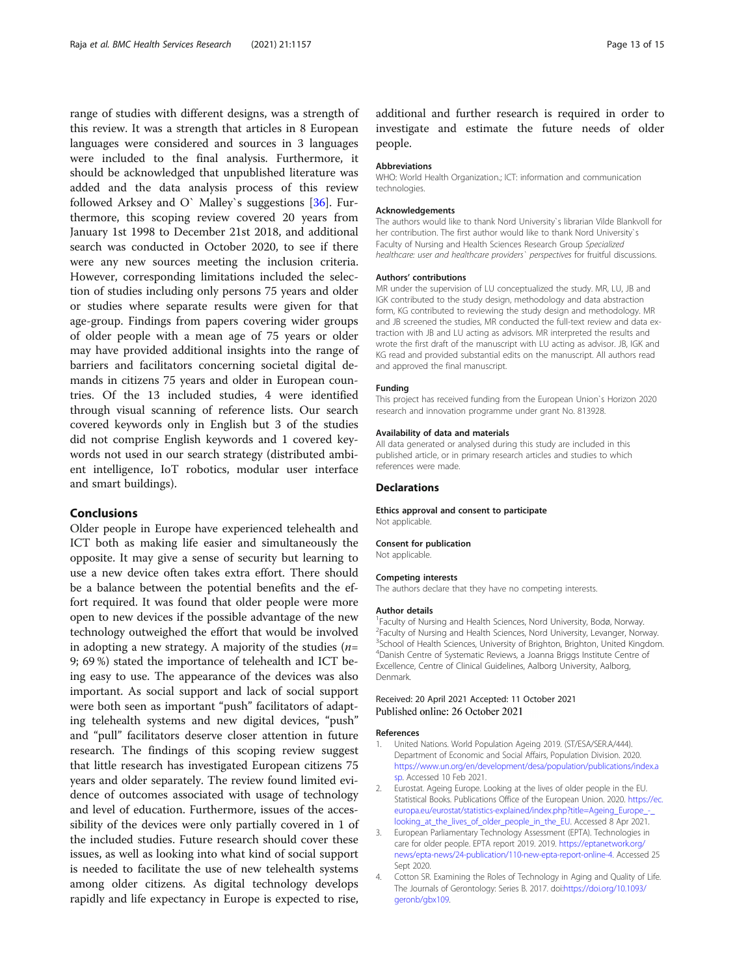<span id="page-12-0"></span>range of studies with different designs, was a strength of this review. It was a strength that articles in 8 European languages were considered and sources in 3 languages were included to the final analysis. Furthermore, it should be acknowledged that unpublished literature was added and the data analysis process of this review followed Arksey and O` Malley`s suggestions [[36\]](#page-13-0). Furthermore, this scoping review covered 20 years from January 1st 1998 to December 21st 2018, and additional search was conducted in October 2020, to see if there were any new sources meeting the inclusion criteria. However, corresponding limitations included the selection of studies including only persons 75 years and older or studies where separate results were given for that age-group. Findings from papers covering wider groups of older people with a mean age of 75 years or older may have provided additional insights into the range of barriers and facilitators concerning societal digital demands in citizens 75 years and older in European countries. Of the 13 included studies, 4 were identified through visual scanning of reference lists. Our search covered keywords only in English but 3 of the studies did not comprise English keywords and 1 covered keywords not used in our search strategy (distributed ambient intelligence, IoT robotics, modular user interface and smart buildings).

#### Conclusions

Older people in Europe have experienced telehealth and ICT both as making life easier and simultaneously the opposite. It may give a sense of security but learning to use a new device often takes extra effort. There should be a balance between the potential benefits and the effort required. It was found that older people were more open to new devices if the possible advantage of the new technology outweighed the effort that would be involved in adopting a new strategy. A majority of the studies  $(n=$ 9; 69 %) stated the importance of telehealth and ICT being easy to use. The appearance of the devices was also important. As social support and lack of social support were both seen as important "push" facilitators of adapting telehealth systems and new digital devices, "push" and "pull" facilitators deserve closer attention in future research. The findings of this scoping review suggest that little research has investigated European citizens 75 years and older separately. The review found limited evidence of outcomes associated with usage of technology and level of education. Furthermore, issues of the accessibility of the devices were only partially covered in 1 of the included studies. Future research should cover these issues, as well as looking into what kind of social support is needed to facilitate the use of new telehealth systems among older citizens. As digital technology develops rapidly and life expectancy in Europe is expected to rise,

additional and further research is required in order to investigate and estimate the future needs of older people.

#### Abbreviations

WHO: World Health Organization.; ICT: information and communication technologies.

#### Acknowledgements

The authors would like to thank Nord University`s librarian Vilde Blankvoll for her contribution. The first author would like to thank Nord University`s Faculty of Nursing and Health Sciences Research Group Specialized healthcare: user and healthcare providers` perspectives for fruitful discussions.

#### Authors' contributions

MR under the supervision of LU conceptualized the study. MR, LU, JB and IGK contributed to the study design, methodology and data abstraction form, KG contributed to reviewing the study design and methodology. MR and JB screened the studies, MR conducted the full-text review and data extraction with JB and LU acting as advisors. MR interpreted the results and wrote the first draft of the manuscript with LU acting as advisor. JB, IGK and KG read and provided substantial edits on the manuscript. All authors read and approved the final manuscript.

#### Funding

This project has received funding from the European Union`s Horizon 2020 research and innovation programme under grant No. 813928.

#### Availability of data and materials

All data generated or analysed during this study are included in this published article, or in primary research articles and studies to which references were made.

#### **Declarations**

Ethics approval and consent to participate Not applicable.

#### Consent for publication

Not applicable.

#### Competing interests

The authors declare that they have no competing interests.

#### Author details

<sup>1</sup> Faculty of Nursing and Health Sciences, Nord University, Bodø, Norway <sup>2</sup> Faculty of Nursing and Health Sciences, Nord University, Levanger, Norway <sup>3</sup>School of Health Sciences, University of Brighton, Brighton, United Kingdom 4 Danish Centre of Systematic Reviews, a Joanna Briggs Institute Centre of Excellence, Centre of Clinical Guidelines, Aalborg University, Aalborg, Denmark.

#### Received: 20 April 2021 Accepted: 11 October 2021 Published online: 26 October 2021

#### References

- 1. United Nations. World Population Ageing 2019. (ST/ESA/SER.A/444). Department of Economic and Social Affairs, Population Division. 2020. [https://www.un.org/en/development/desa/population/publications/index.a](https://www.un.org/en/development/desa/population/publications/index.asp) [sp](https://www.un.org/en/development/desa/population/publications/index.asp). Accessed 10 Feb 2021.
- 2. Eurostat. Ageing Europe. Looking at the lives of older people in the EU. Statistical Books. Publications Office of the European Union. 2020. [https://ec.](https://ec.europa.eu/eurostat/statistics-explained/index.php?title=Ageing_Europe_-_looking_at_the_lives_of_older_people_in_the_EU) [europa.eu/eurostat/statistics-explained/index.php?title=Ageing\\_Europe\\_-\\_](https://ec.europa.eu/eurostat/statistics-explained/index.php?title=Ageing_Europe_-_looking_at_the_lives_of_older_people_in_the_EU) [looking\\_at\\_the\\_lives\\_of\\_older\\_people\\_in\\_the\\_EU](https://ec.europa.eu/eurostat/statistics-explained/index.php?title=Ageing_Europe_-_looking_at_the_lives_of_older_people_in_the_EU). Accessed 8 Apr 2021.
- 3. European Parliamentary Technology Assessment (EPTA). Technologies in care for older people. EPTA report 2019. 2019. [https://eptanetwork.org/](https://eptanetwork.org/news/epta-news/24-publication/110-new-epta-report-online-4) [news/epta-news/24-publication/110-new-epta-report-online-4](https://eptanetwork.org/news/epta-news/24-publication/110-new-epta-report-online-4). Accessed 25 Sept 2020.
- 4. Cotton SR. Examining the Roles of Technology in Aging and Quality of Life. The Journals of Gerontology: Series B. 2017. doi:[https://doi.org/10.1093/](https://doi.org/10.1093/geronb/gbx109) [geronb/gbx109.](https://doi.org/10.1093/geronb/gbx109)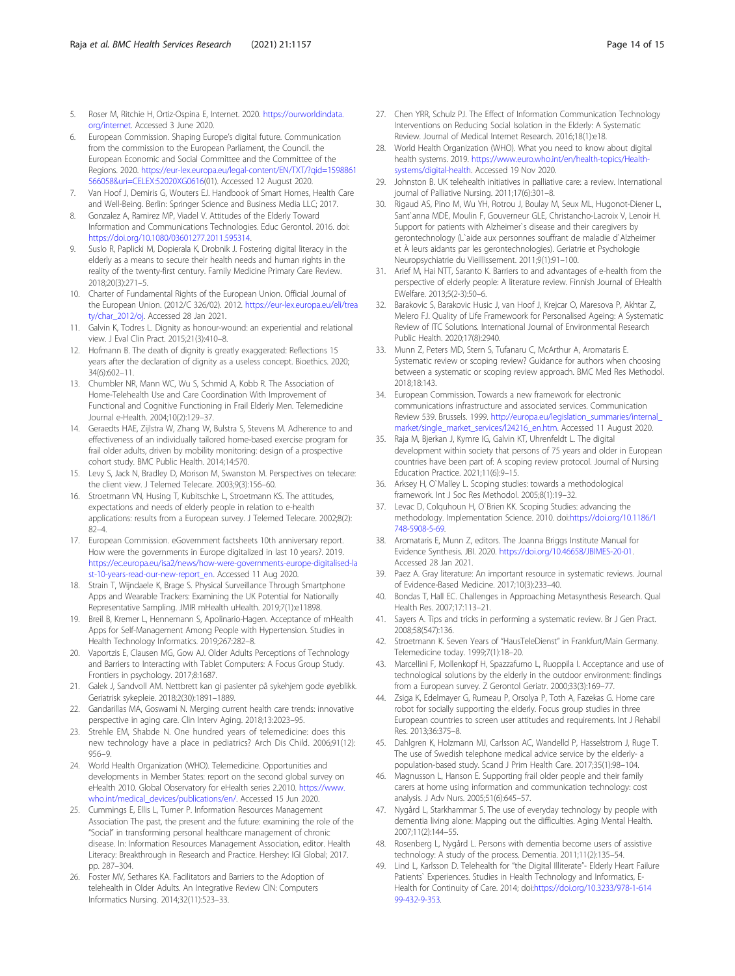- <span id="page-13-0"></span>5. Roser M, Ritchie H, Ortiz-Ospina E, Internet. 2020. [https://ourworldindata.](https://ourworldindata.org/internet) [org/internet](https://ourworldindata.org/internet). Accessed 3 June 2020.
- 6. European Commission. Shaping Europe's digital future. Communication from the commission to the European Parliament, the Council. the European Economic and Social Committee and the Committee of the Regions. 2020. [https://eur-lex.europa.eu/legal-content/EN/TXT/?qid=1598861](https://eur-lex.europa.eu/legal-content/EN/TXT/?qid=1598861566058&uri=CELEX:52020XG0616) [566058&uri=CELEX:52020XG0616](https://eur-lex.europa.eu/legal-content/EN/TXT/?qid=1598861566058&uri=CELEX:52020XG0616)(01). Accessed 12 August 2020.
- 7. Van Hoof J, Demiris G, Wouters EJ. Handbook of Smart Homes, Health Care and Well-Being. Berlin: Springer Science and Business Media LLC; 2017.
- 8. Gonzalez A, Ramirez MP, Viadel V. Attitudes of the Elderly Toward Information and Communications Technologies. Educ Gerontol. 2016. doi: [https://doi.org/10.1080/03601277.2011.595314.](https://doi.org/10.1080/03601277.2011.595314)
- 9. Suslo R, Paplicki M, Dopierala K, Drobnik J. Fostering digital literacy in the elderly as a means to secure their health needs and human rights in the reality of the twenty-first century. Family Medicine Primary Care Review. 2018;20(3):271–5.
- 10. Charter of Fundamental Rights of the European Union. Official Journal of the European Union. (2012/C 326/02). 2012. [https://eur-lex.europa.eu/eli/trea](https://eur-lex.europa.eu/eli/treaty/char_2012/oj) [ty/char\\_2012/oj.](https://eur-lex.europa.eu/eli/treaty/char_2012/oj) Accessed 28 Jan 2021.
- 11. Galvin K, Todres L. Dignity as honour-wound: an experiential and relational view. J Eval Clin Pract. 2015;21(3):410–8.
- 12. Hofmann B. The death of dignity is greatly exaggerated: Reflections 15 years after the declaration of dignity as a useless concept. Bioethics. 2020; 34(6):602–11.
- 13. Chumbler NR, Mann WC, Wu S, Schmid A, Kobb R. The Association of Home-Telehealth Use and Care Coordination With Improvement of Functional and Cognitive Functioning in Frail Elderly Men. Telemedicine Journal e-Health. 2004;10(2):129–37.
- 14. Geraedts HAE, Zijlstra W, Zhang W, Bulstra S, Stevens M. Adherence to and effectiveness of an individually tailored home-based exercise program for frail older adults, driven by mobility monitoring: design of a prospective cohort study. BMC Public Health. 2014;14:570.
- 15. Levy S, Jack N, Bradley D, Morison M, Swanston M. Perspectives on telecare: the client view. J Telemed Telecare. 2003;9(3):156–60.
- 16. Stroetmann VN, Husing T, Kubitschke L, Stroetmann KS. The attitudes, expectations and needs of elderly people in relation to e-health applications: results from a European survey. J Telemed Telecare. 2002;8(2): 82–4.
- 17. European Commission. eGovernment factsheets 10th anniversary report. How were the governments in Europe digitalized in last 10 years?. 2019. [https://ec.europa.eu/isa2/news/how-were-governments-europe-digitalised-la](https://ec.europa.eu/isa2/news/how-were-governments-europe-digitalised-last-10-years-read-our-new-report_en) [st-10-years-read-our-new-report\\_en.](https://ec.europa.eu/isa2/news/how-were-governments-europe-digitalised-last-10-years-read-our-new-report_en) Accessed 11 Aug 2020.
- 18. Strain T, Wijndaele K, Brage S. Physical Surveillance Through Smartphone Apps and Wearable Trackers: Examining the UK Potential for Nationally Representative Sampling. JMIR mHealth uHealth. 2019;7(1):e11898.
- 19. Breil B, Kremer L, Hennemann S, Apolinario-Hagen. Acceptance of mHealth Apps for Self-Management Among People with Hypertension. Studies in Health Technology Informatics. 2019;267:282–8.
- 20. Vaportzis E, Clausen MG, Gow AJ. Older Adults Perceptions of Technology and Barriers to Interacting with Tablet Computers: A Focus Group Study. Frontiers in psychology. 2017;8:1687.
- 21. Galek J, Sandvoll AM. Nettbrett kan gi pasienter på sykehjem gode øyeblikk. Geriatrisk sykepleie. 2018;2(30):1891–1889.
- Gandarillas MA, Goswami N. Merging current health care trends: innovative perspective in aging care. Clin Interv Aging. 2018;13:2023–95.
- 23. Strehle EM, Shabde N. One hundred years of telemedicine: does this new technology have a place in pediatrics? Arch Dis Child. 2006;91(12): 956–9.
- 24. World Health Organization (WHO). Telemedicine. Opportunities and developments in Member States: report on the second global survey on eHealth 2010. Global Observatory for eHealth series 2.2010. [https://www.](https://www.who.int/medical_devices/publications/en/) [who.int/medical\\_devices/publications/en/](https://www.who.int/medical_devices/publications/en/). Accessed 15 Jun 2020.
- 25. Cummings E, Ellis L, Turner P. Information Resources Management Association The past, the present and the future: examining the role of the "Social" in transforming personal healthcare management of chronic disease. In: Information Resources Management Association, editor. Health Literacy: Breakthrough in Research and Practice. Hershey: IGI Global; 2017. pp. 287–304.
- 26. Foster MV, Sethares KA. Facilitators and Barriers to the Adoption of telehealth in Older Adults. An Integrative Review CIN: Computers Informatics Nursing. 2014;32(11):523–33.
- 27. Chen YRR, Schulz PJ. The Effect of Information Communication Technology Interventions on Reducing Social Isolation in the Elderly: A Systematic Review. Journal of Medical Internet Research. 2016;18(1):e18.
- 28. World Health Organization (WHO). What you need to know about digital health systems. 2019. [https://www.euro.who.int/en/health-topics/Health](https://www.euro.who.int/en/health-topics/Health-systems/digital-health)[systems/digital-health.](https://www.euro.who.int/en/health-topics/Health-systems/digital-health) Accessed 19 Nov 2020.
- 29. Johnston B. UK telehealth initiatives in palliative care: a review. International journal of Palliative Nursing. 2011;17(6):301–8.
- 30. Rigaud AS, Pino M, Wu YH, Rotrou J, Boulay M, Seux ML, Hugonot-Diener L, Sant`anna MDE, Moulin F, Gouverneur GLE, Christancho-Lacroix V, Lenoir H. Support for patients with Alzheimer`s disease and their caregivers by gerontechnology (L`aide aux personnes souffrant de maladie d`Alzheimer et À leurs aidants par les gerontechnologies). Geriatrie et Psychologie Neuropsychiatrie du Vieillissement. 2011;9(1):91–100.
- 31. Arief M, Hai NTT, Saranto K. Barriers to and advantages of e-health from the perspective of elderly people: A literature review. Finnish Journal of EHealth EWelfare. 2013;5(2-3):50–6.
- 32. Barakovic S, Barakovic Husic J, van Hoof J, Krejcar O, Maresova P, Akhtar Z, Melero FJ. Quality of Life Framewoork for Personalised Ageing: A Systematic Review of ITC Solutions. International Journal of Environmental Research Public Health. 2020;17(8):2940.
- 33. Munn Z, Peters MD, Stern S, Tufanaru C, McArthur A, Aromataris E. Systematic review or scoping review? Guidance for authors when choosing between a systematic or scoping review approach. BMC Med Res Methodol. 2018;18:143.
- 34. European Commission. Towards a new framework for electronic communications infrastructure and associated services. Communication Review 539. Brussels. 1999. [http://europa.eu/legislation\\_summaries/internal\\_](http://europa.eu/legislation_summaries/internal_market/single_market_services/l24216_en.htm) [market/single\\_market\\_services/l24216\\_en.htm.](http://europa.eu/legislation_summaries/internal_market/single_market_services/l24216_en.htm) Accessed 11 August 2020.
- 35. Raja M, Bjerkan J, Kymre IG, Galvin KT, Uhrenfeldt L. The digital development within society that persons of 75 years and older in European countries have been part of: A scoping review protocol. Journal of Nursing Education Practice. 2021;11(6):9–15.
- 36. Arksey H, O`Malley L. Scoping studies: towards a methodological framework. Int J Soc Res Methodol. 2005;8(1):19–32.
- 37. Levac D, Colquhoun H, O`Brien KK. Scoping Studies: advancing the methodology. Implementation Science. 2010. doi:[https://doi.org/10.1186/1](https://doi.org/10.1186/1748-5908-5-69) [748-5908-5-69](https://doi.org/10.1186/1748-5908-5-69).
- 38. Aromataris E, Munn Z, editors. The Joanna Briggs Institute Manual for Evidence Synthesis. JBI. 2020. [https://doi.org/10.46658/JBIMES-20-01.](https://doi.org/10.46658/JBIMES-20-01) Accessed 28 Jan 2021.
- 39. Paez A. Gray literature: An important resource in systematic reviews. Journal of Evidence-Based Medicine. 2017;10(3):233–40.
- 40. Bondas T, Hall EC. Challenges in Approaching Metasynthesis Research. Qual Health Res. 2007;17:113–21.
- 41. Sayers A. Tips and tricks in performing a systematic review. Br J Gen Pract. 2008;58(547):136.
- 42. Stroetmann K. Seven Years of "HausTeleDienst" in Frankfurt/Main Germany. Telemedicine today. 1999;7(1):18–20.
- 43. Marcellini F, Mollenkopf H, Spazzafumo L, Ruoppila I. Acceptance and use of technological solutions by the elderly in the outdoor environment: findings from a European survey. Z Gerontol Geriatr. 2000;33(3):169–77.
- 44. Zsiga K, Edelmayer G, Rumeau P, Orsolya P, Toth A, Fazekas G. Home care robot for socially supporting the elderly. Focus group studies in three European countries to screen user attitudes and requirements. Int J Rehabil Res. 2013;36:375–8.
- 45. Dahlgren K, Holzmann MJ, Carlsson AC, Wandelld P, Hasselstrom J, Ruge T. The use of Swedish telephone medical advice service by the elderly- a population-based study. Scand J Prim Health Care. 2017;35(1):98–104.
- 46. Magnusson L, Hanson E. Supporting frail older people and their family carers at home using information and communication technology: cost analysis. J Adv Nurs. 2005;51(6):645–57.
- 47. Nygård L, Starkhammar S. The use of everyday technology by people with dementia living alone: Mapping out the difficulties. Aging Mental Health. 2007;11(2):144–55.
- 48. Rosenberg L, Nygård L. Persons with dementia become users of assistive technology: A study of the process. Dementia. 2011;11(2):135–54.
- 49. Lind L, Karlsson D. Telehealth for "the Digital Illiterate"- Elderly Heart Failure Patients` Experiences. Studies in Health Technology and Informatics, E-Health for Continuity of Care. 2014; doi:[https://doi.org/10.3233/978-1-614](https://doi.org/10.3233/978-1-61499-432-9-353) [99-432-9-353.](https://doi.org/10.3233/978-1-61499-432-9-353)